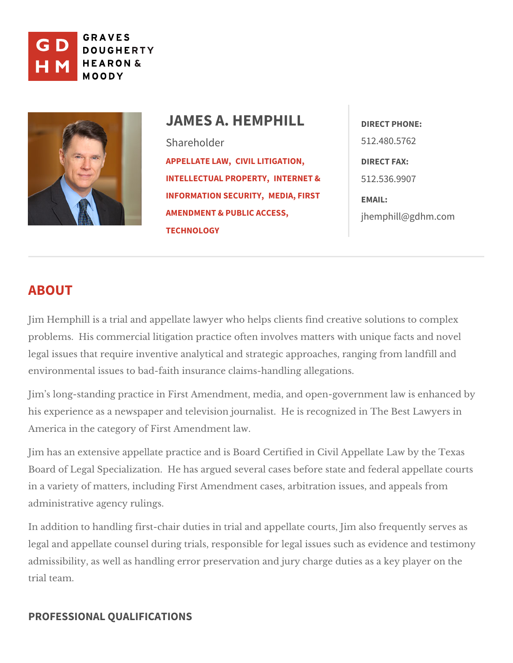

# JAMES A. HEMPH **JAMES** Shareholder [APPELLAT](https://www.gdhm.com/practice-areas/appellate-law/)ECLUMM, LITIGATION, DIRECT FAX:  $INTELLECTIONAL$  PRNOTPEERRNTEYT,  $8$  512.536.9907 [INFORMATION S](https://www.gdhm.com/practice-areas/internet-information-security/)EMEEDRATYF, IRST EMAIL: [AMENDMENT & PUBL](https://www.gdhm.com/practice-areas/media-first-amendment-public-access/)IC ACCESS<sub>j</sub>, hemphill@gdhm.com **[TECHNO](https://www.gdhm.com/practice-areas/technology/)LOGY** 512.480.5762

# ABOUT

Jim Hemphill is a trial and appellate lawyer who helps clients find creative s problems. His commercial litigation practice often involves matters with uniq legal issues that require inventive analytical and strategic approaches, rang environmental issues to bad-faitch insurance ling allegations.

Jim s long-standing practice in First Amendment, media, and open-governmer his experience as a newspaper and television journalist. He is recognized in America in the category Americant law.

Jim has an extensive appellate practice and is Board Certified in Civil Appel Board of Legal Specialization. He has argued several cases before state and in a variety of matters, including First Amendment cases, arbitration issues, administrative agency rulings.

In addition to handling first-chair duties in trial and appellate courts, Jim al legal and appellate counsel during trials, responsible for legal issues such a admissibility, as well as handling error preservation and jury charge duties a trial team.

# PROFESSIONAL QUALIFICATIONS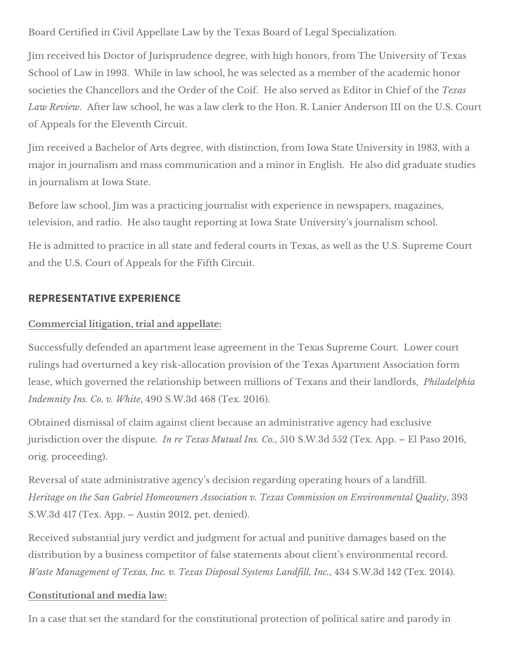Board Certified in Civil Appellate Law by the Texas Board of Legal Specialization.

Jim received his Doctor of Jurisprudence degree, with high honors, from The University of Texas School of Law in 1993. While in law school, he was selected as a member of the academic honor societies the Chancellors and the Order of the Coif. He also served as Editor in Chief of the *Texas Law Review*. After law school, he was a law clerk to the Hon. R. Lanier Anderson III on the U.S. Court of Appeals for the Eleventh Circuit.

Jim received a Bachelor of Arts degree, with distinction, from Iowa State University in 1983, with a major in journalism and mass communication and a minor in English. He also did graduate studies in journalism at Iowa State.

Before law school, Jim was a practicing journalist with experience in newspapers, magazines, television, and radio. He also taught reporting at Iowa State University's journalism school.

He is admitted to practice in all state and federal courts in Texas, as well as the U.S. Supreme Court and the U.S. Court of Appeals for the Fifth Circuit.

# **REPRESENTATIVE EXPERIENCE**

## **Commercial litigation, trial and appellate:**

Successfully defended an apartment lease agreement in the Texas Supreme Court. Lower court rulings had overturned a key risk-allocation provision of the Texas Apartment Association form lease, which governed the relationship between millions of Texans and their landlords, *Philadelphia Indemnity Ins. Co. v. White*, 490 S.W.3d 468 (Tex. 2016).

Obtained dismissal of claim against client because an administrative agency had exclusive jurisdiction over the dispute. *In re Texas Mutual Ins. Co.*, 510 S.W.3d 552 (Tex. App. – El Paso 2016, orig. proceeding).

Reversal of state administrative agency's decision regarding operating hours of a landfill. *Heritage on the San Gabriel Homeowners Association v. Texas Commission on Environmental Quality*, 393 S.W.3d 417 (Tex. App. – Austin 2012, pet. denied).

Received substantial jury verdict and judgment for actual and punitive damages based on the distribution by a business competitor of false statements about client's environmental record. *Waste Management of Texas, Inc. v. Texas Disposal Systems Landfill, Inc.*, 434 S.W.3d 142 (Tex. 2014).

### **Constitutional and media law:**

In a case that set the standard for the constitutional protection of political satire and parody in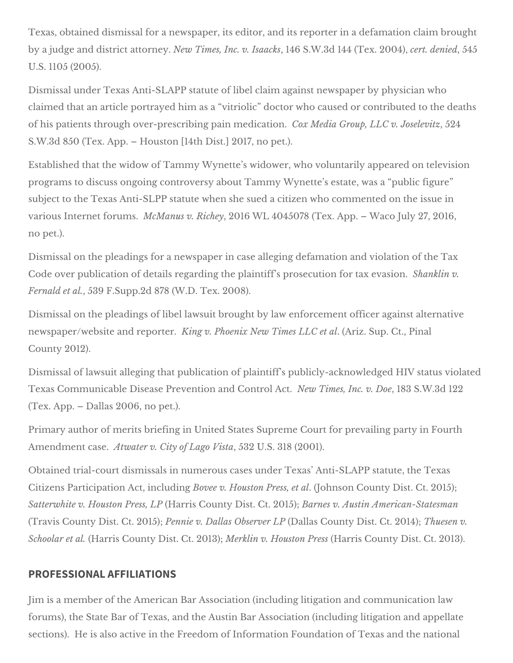Texas, obtained dismissal for a newspaper, its editor, and its reporter in a defamation claim brought by a judge and district attorney. *New Times, Inc. v. Isaacks*, 146 S.W.3d 144 (Tex. 2004), *cert. denied*, 545 U.S. 1105 (2005).

Dismissal under Texas Anti-SLAPP statute of libel claim against newspaper by physician who claimed that an article portrayed him as a "vitriolic" doctor who caused or contributed to the deaths of his patients through over-prescribing pain medication. *Cox Media Group, LLC v. Joselevitz*, 524 S.W.3d 850 (Tex. App. – Houston [14th Dist.] 2017, no pet.).

Established that the widow of Tammy Wynette's widower, who voluntarily appeared on television programs to discuss ongoing controversy about Tammy Wynette's estate, was a "public figure" subject to the Texas Anti-SLPP statute when she sued a citizen who commented on the issue in various Internet forums. *McManus v. Richey*, 2016 WL 4045078 (Tex. App. – Waco July 27, 2016, no pet.).

Dismissal on the pleadings for a newspaper in case alleging defamation and violation of the Tax Code over publication of details regarding the plaintiff's prosecution for tax evasion. *Shanklin v. Fernald et al.*, 539 F.Supp.2d 878 (W.D. Tex. 2008).

Dismissal on the pleadings of libel lawsuit brought by law enforcement officer against alternative newspaper/website and reporter. *King v. Phoenix New Times LLC et al*. (Ariz. Sup. Ct., Pinal County 2012).

Dismissal of lawsuit alleging that publication of plaintiff's publicly-acknowledged HIV status violated Texas Communicable Disease Prevention and Control Act. *New Times, Inc. v. Doe*, 183 S.W.3d 122 (Tex. App. – Dallas 2006, no pet.).

Primary author of merits briefing in United States Supreme Court for prevailing party in Fourth Amendment case. *Atwater v. City of Lago Vista*, 532 U.S. 318 (2001).

Obtained trial-court dismissals in numerous cases under Texas' Anti-SLAPP statute, the Texas Citizens Participation Act, including *Bovee v. Houston Press, et al*. (Johnson County Dist. Ct. 2015); *Satterwhite v. Houston Press, LP* (Harris County Dist. Ct. 2015); *Barnes v. Austin American-Statesman*  (Travis County Dist. Ct. 2015); *Pennie v. Dallas Observer LP* (Dallas County Dist. Ct. 2014); *Thuesen v. Schoolar et al.* (Harris County Dist. Ct. 2013); *Merklin v. Houston Press* (Harris County Dist. Ct. 2013).

# **PROFESSIONAL AFFILIATIONS**

Jim is a member of the American Bar Association (including litigation and communication law forums), the State Bar of Texas, and the Austin Bar Association (including litigation and appellate sections). He is also active in the Freedom of Information Foundation of Texas and the national